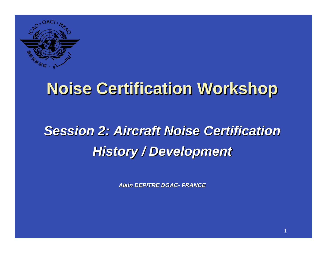

## **Noise Certification Workshop Noise Certification Workshop**

# *Session 2: Session 2: Aircraft Aircraft Noise Certification Noise Certification***History** / Development

*Alain DEPITRE DGAC- FRANCE*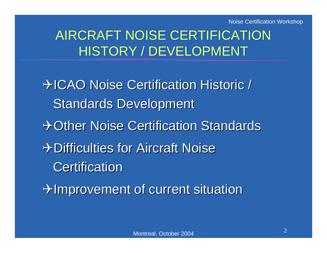Noise Certification Workshop

#### AIRCRAFT NOISE CERTIFICATION HISTORY / DEVELOPMENT

 $\rightarrow$  ICAO Noise Certification Historic / Standards Development + Other Noise Certification Standards +>Difficulties for Aircraft Noise **Certification** 

 $\rightarrow$ Improvement of current situation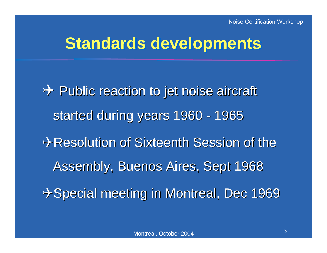### **Standards developments**

 $\rightarrow$  Public reaction to jet noise aircraft started during years 1960 - 1965  $\rightarrow$  Resolution of Sixteenth Session of the Assembly, Buenos Aires, Sept 1968 +Special meeting in Montreal, Dec 1969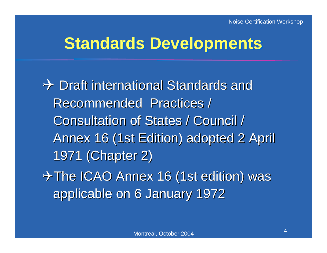### **Standards Developments**

 $\rightarrow$  Draft international Standards and Recommended Practices / Recommended Practices / Consultation of States / Council / Consultation of States / Council / Annex 16 (1st Edition) adopted 2 April 1971 (Chapter 2) 1971 (Chapter 2)  $\rightarrow$  The ICAO Annex 16 (1st edition) was applicable on 6 January 1972 applicable on 6 January 1972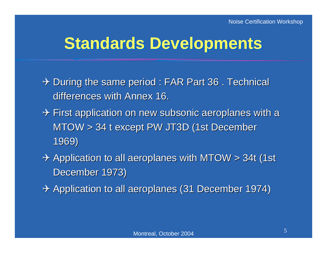### **Standards Developments**

- $\rightarrow$  During the same period : FAR Part 36 . Technical differences with Annex 16.
- $\rightarrow$  First application on new subsonic aeroplanes with a MTOW > 34 t except PW JT3D (1st December 1969)
- $\rightarrow$  Application to all aeroplanes with MTOW > 34t (1st December 1973)
- $\rightarrow$  Application to all aeroplanes (31 December 1974)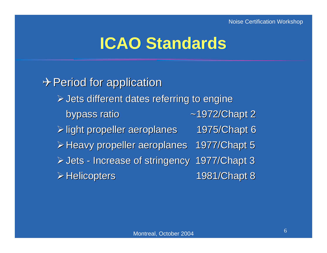### **ICAO Standards**

 $\rightarrow$  Period for application  $\triangleright$  Jets different dates referring to engine bypass ratio bypass ratio ~1972/Chapt 2  $\triangleright$  light propeller aeroplanes 1975/ Chapt 6  $\triangleright$  Heavy propeller aeroplanes 1977/ Chapt 5 **≻Jets - Increase of stringency 1977/Chapt 3 ≽Helicopters 1981/Chapt 8**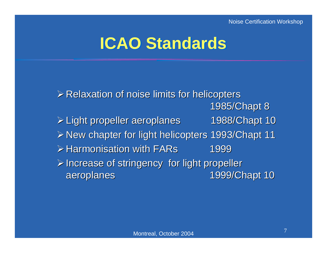## **ICAO Standards ICAO Standards**

 $\triangleright$  Relaxation of noise limits for helicopters 1985/Chapt 8 ¾Light propeller aeroplanes 1988/ Light propeller aeroplanes 1988/Chapt 10 ≻New chapter for light helicopters 1993/Chapt 11  $\triangleright$  Harmonisation with FARs 1999  $\triangleright$  Increase of stringency for light propeller aeroplanes aeroplanes 1999/Chapt 10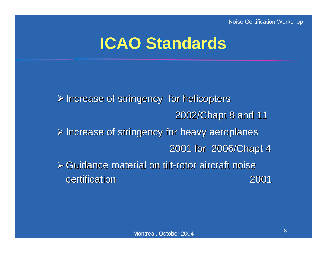## **ICAO Standards ICAO Standards**

 $\triangleright$  Increase of stringency for helicopters 2002/Chapt 8 and 11  $\triangleright$  Increase of stringency for heavy aeroplanes 2001 for 2006/ Chapt 4  $\triangleright$  Guidance material on tilt-rotor aircraft noise certification certification 2001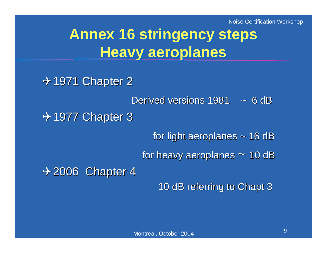## **Annex 16 stringency steps Annex 16 stringency steps Heavy aeroplanes Heavy aeroplanes**

 $\rightarrow$  1971 Chapter 2

Derived versions  $1981 - 6$  dB

 $\div$  1977 Chapter 3

for light aeroplanes  $\sim$  16 dB

for heavy aeroplanes  $\sim$  10 dB

 $+2006$  Chapter 4

10 dB referring to Chapt 3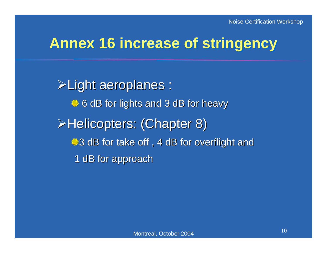#### **Annex 16 increase of stringency Annex 16 increase of stringency**

¾Light aeroplanes : Light aeroplanes :  $\frac{4}{5}$  **6 dB for lights and 3 dB for heavy** ≻Helicopters: (Chapter 8)  $\div$ **3 dB for take off, 4 dB for overflight and** 1 dB for approach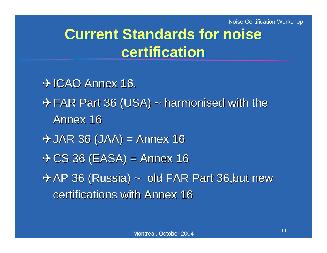Noise Certification Workshop

### **Current Standards for noise Current Standards for noise certificationcertification**

 $\rightarrow$  ICAO Annex 16.  $\rightarrow$  FAR Part 36 (USA) ~ harmonised with the Annex 16  $\rightarrow$  JAR 36 (JAA) = Annex 16  $\rightarrow$  CS 36 (EASA) = Annex 16  $\rightarrow$  AP 36 (Russia) ~ old FAR Part 36,but new certifications with Annex 16 certifications with Annex 16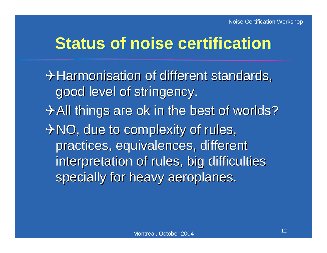## **Status of noise certification Status of noise certification**

 $\rightarrow$  Harmonisation of different standards, good level of stringency.  $\rightarrow$  All things are ok in the best of worlds?  $\rightarrow$  NO, due to complexity of rules, practices, equivalences, different practices, equivalences, different interpretation of rules, big difficulties specially for heavy aeroplanes.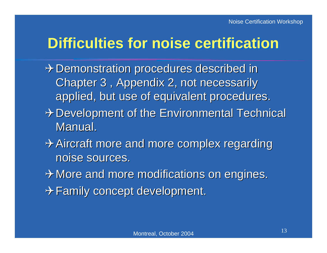#### **Difficulties for noise certification Difficulties for noise certification**

- $\rightarrow$  Demonstration procedures described in Chapter 3 , Appendix 2, not necessarily Chapter 3 , Appendix 2, not necessarily applied, but use of equivalent procedures.
- $\rightarrow$  Development of the Environmental Technical Manual.
- $\rightarrow$  Aircraft more and more complex regarding noise sources.
- $\rightarrow$  More and more modifications on engines.
- $\rightarrow$  Family concept development.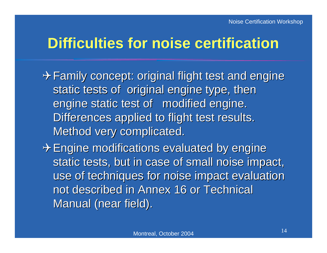#### **Difficulties for noise certification Difficulties for noise certification**

 $\rightarrow$  Family concept: original flight test and engine static tests of original engine type, then engine static test of modified engine. Differences applied to flight test results. Method very complicated.

 $\rightarrow$  Engine modifications evaluated by engine static tests, but in case of small noise impact, use of techniques for noise impact evaluation not described in Annex 16 or Technical Manual (near field).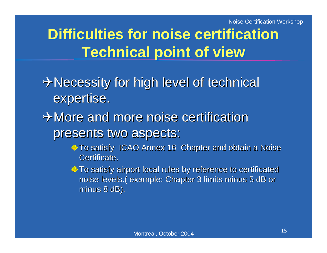## **Difficulties for noise certification Technical point of view Technical point of view**

#### $\rightarrow$  Necessity for high level of technical expertise.

#### $\rightarrow$  More and more noise certification presents two aspects:

- To satisfy ICAO Annex 16 Chapter and obtain a Noise Certificate.
- To satisfy airport local rules by reference to certificated noise levels.( example: Chapter 3 limits minus 5 dB or minus  $8$  dB).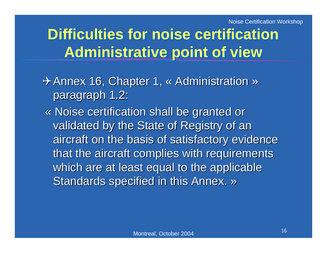## **Difficulties for noise certification Administrative point of view Administrative point of view**

- → Annex 16, Chapter 1, « Administration » paragraph 1.2:
	- « Noise certification shall be granted or « Noise certification shall be granted or validated by the State of Registry of an aircraft on the basis of satisfactory evidence that the aircraft complies with requirements which are at least equal to the applicable Standards specified in this Annex. »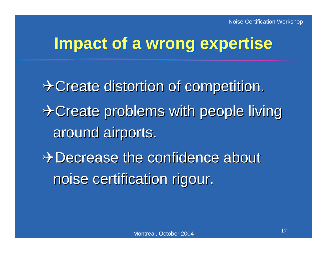### **Impact of a wrong expertise Impact of a wrong expertise**

 $\rightarrow$  Create distortion of competition.  $\rightarrow$  Create problems with people living around airports. + Decrease the confidence about noise certification rigour.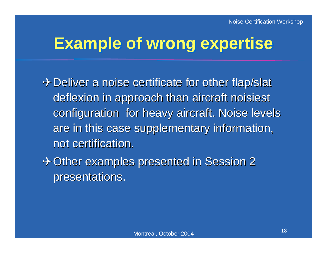## **Example of wrong expertise Example of wrong expertise**

 $\rightarrow$  Deliver a noise certificate for other flap/slat deflexion in approach than aircraft noisiest configuration for heavy aircraft. Noise levels are in this case supplementary information, not certification.

 $\rightarrow$  Other examples presented in Session 2 presentations. presentations.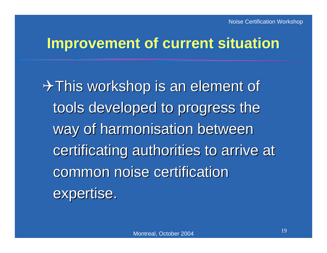#### **Improvement of current situation Improvement of current situation**

 $\rightarrow$  This workshop is an element of tools developed to progress the way of harmonisation between certificating authorities to arrive at common noise certification expertise.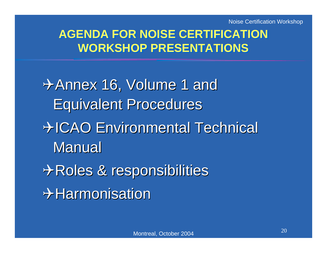Noise Certification Workshop

#### **AGENDA FOR NOISE CERTIFICATION AGENDA FOR NOISE CERTIFICATION WORKSHOP PRESENTATIONSWORKSHOP PRESENTATIONS**

 $\rightarrow$  Annex 16, Volume 1 and **Equivalent Procedures + ICAO Environmental Technical Manual**  $\rightarrow$  Roles & responsibilities  $\bm{\div}$ Harmonisation